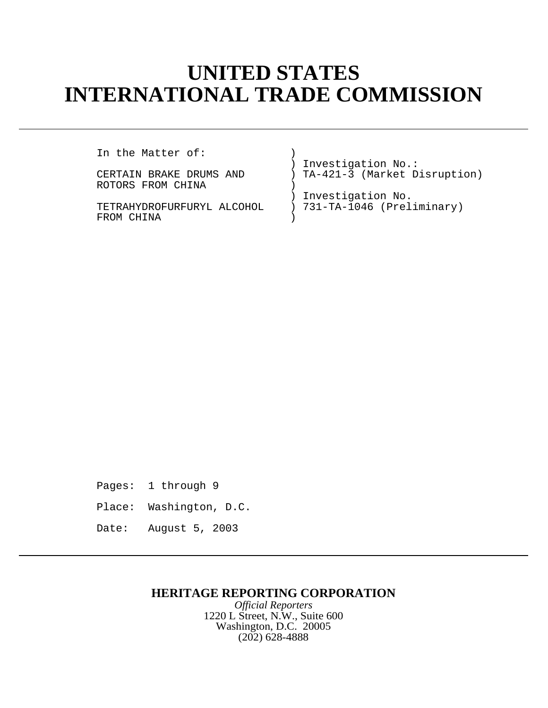# **UNITED STATES INTERNATIONAL TRADE COMMISSION**

In the Matter of:

ROTORS FROM CHINA

FROM CHINA

) Investigation No.: CERTAIN BRAKE DRUMS AND ) TA-421-3 (Market Disruption)

) Investigation No. TETRAHYDROFURFURYL ALCOHOL ) 731-TA-1046 (Preliminary)

Pages: 1 through 9

- Place: Washington, D.C.
- Date: August 5, 2003

## **HERITAGE REPORTING CORPORATION**

*Official Reporters* 1220 L Street, N.W., Suite 600 Washington, D.C. 20005 (202) 628-4888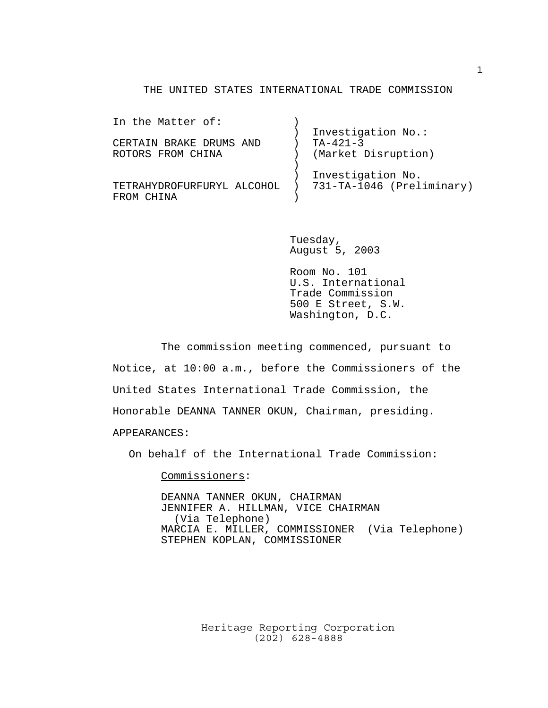#### THE UNITED STATES INTERNATIONAL TRADE COMMISSION

| In the Matter of:          |                           |
|----------------------------|---------------------------|
|                            | Investigation No.:        |
| CERTAIN BRAKE DRUMS AND    | $TA - 421 - 3$            |
| ROTORS FROM CHINA          | (Market Disruption)       |
|                            |                           |
|                            | Investigation No.         |
| TETRAHYDROFURFURYL ALCOHOL | 731-TA-1046 (Preliminary) |
| FROM CHINA                 |                           |
|                            |                           |

Tuesday, August 5, 2003

Room No. 101 U.S. International Trade Commission 500 E Street, S.W. Washington, D.C.

The commission meeting commenced, pursuant to Notice, at 10:00 a.m., before the Commissioners of the United States International Trade Commission, the Honorable DEANNA TANNER OKUN, Chairman, presiding. APPEARANCES:

On behalf of the International Trade Commission:

Commissioners:

DEANNA TANNER OKUN, CHAIRMAN JENNIFER A. HILLMAN, VICE CHAIRMAN (Via Telephone) MARCIA E. MILLER, COMMISSIONER (Via Telephone) STEPHEN KOPLAN, COMMISSIONER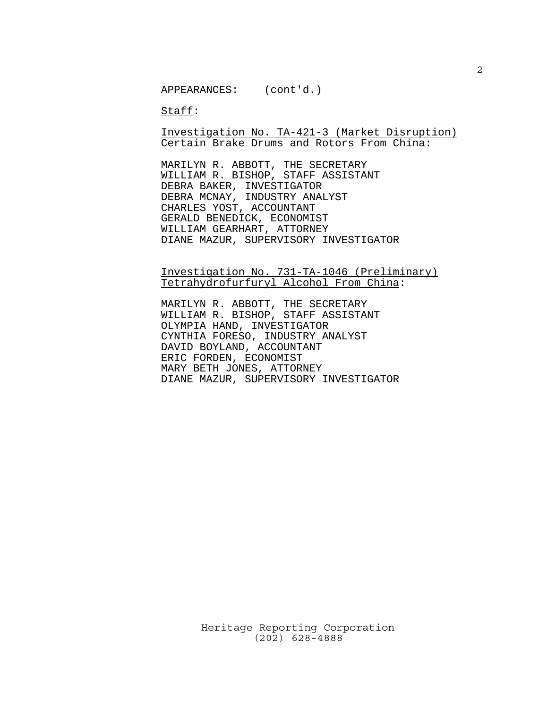Staff:

Investigation No. TA-421-3 (Market Disruption) Certain Brake Drums and Rotors From China:

MARILYN R. ABBOTT, THE SECRETARY WILLIAM R. BISHOP, STAFF ASSISTANT DEBRA BAKER, INVESTIGATOR DEBRA MCNAY, INDUSTRY ANALYST CHARLES YOST, ACCOUNTANT GERALD BENEDICK, ECONOMIST WILLIAM GEARHART, ATTORNEY DIANE MAZUR, SUPERVISORY INVESTIGATOR

Investigation No. 731-TA-1046 (Preliminary) Tetrahydrofurfuryl Alcohol From China:

MARILYN R. ABBOTT, THE SECRETARY WILLIAM R. BISHOP, STAFF ASSISTANT OLYMPIA HAND, INVESTIGATOR CYNTHIA FORESO, INDUSTRY ANALYST DAVID BOYLAND, ACCOUNTANT ERIC FORDEN, ECONOMIST MARY BETH JONES, ATTORNEY DIANE MAZUR, SUPERVISORY INVESTIGATOR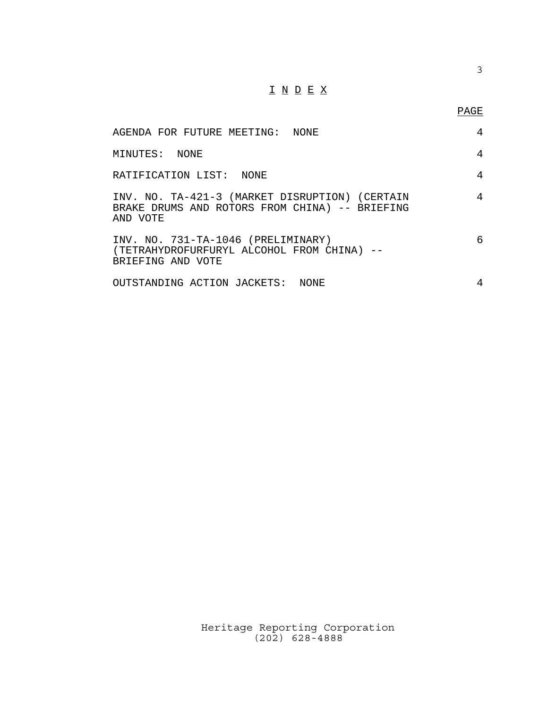### $\underline{\texttt{I}} \ \underline{\texttt{N}} \ \underline{\texttt{D}} \ \underline{\texttt{E}} \ \underline{\texttt{X}}$

3

| AGENDA FOR FUTURE MEETING: NONE                                                                              | 4 |
|--------------------------------------------------------------------------------------------------------------|---|
| MINUTES: NONE                                                                                                | 4 |
| RATIFICATION LIST: NONE                                                                                      | 4 |
| INV. NO. TA-421-3 (MARKET DISRUPTION) (CERTAIN<br>BRAKE DRUMS AND ROTORS FROM CHINA) -- BRIEFING<br>AND VOTE | 4 |
| INV. NO. 731-TA-1046 (PRELIMINARY)<br>(TETRAHYDROFURFURYL ALCOHOL FROM CHINA) --<br>BRIEFING AND VOTE        | 6 |
| OUTSTANDING ACTION JACKETS: NONE                                                                             | 4 |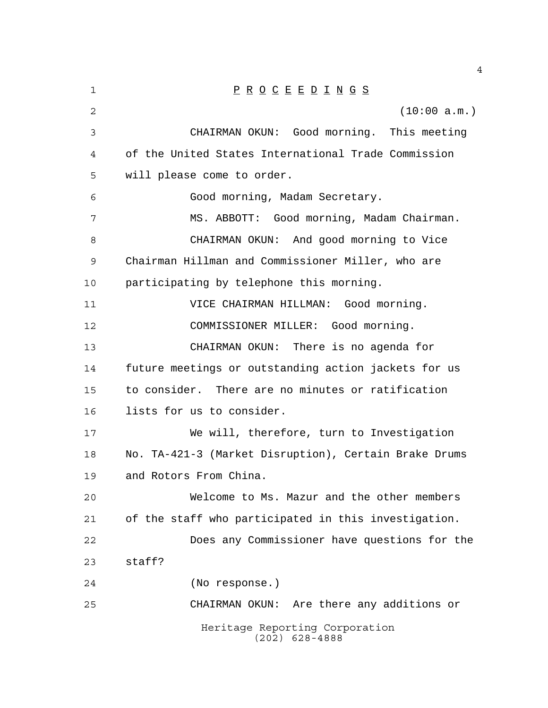| 1  | $\underline{P} \underline{R} \underline{O} \underline{C} \underline{E} \underline{E} \underline{D} \underline{I} \underline{N} \underline{G} \underline{S}$ |
|----|-------------------------------------------------------------------------------------------------------------------------------------------------------------|
| 2  | (10:00 a.m.)                                                                                                                                                |
| 3  | CHAIRMAN OKUN: Good morning. This meeting                                                                                                                   |
| 4  | of the United States International Trade Commission                                                                                                         |
| 5  | will please come to order.                                                                                                                                  |
| 6  | Good morning, Madam Secretary.                                                                                                                              |
| 7  | MS. ABBOTT: Good morning, Madam Chairman.                                                                                                                   |
| 8  | CHAIRMAN OKUN: And good morning to Vice                                                                                                                     |
| 9  | Chairman Hillman and Commissioner Miller, who are                                                                                                           |
| 10 | participating by telephone this morning.                                                                                                                    |
| 11 | VICE CHAIRMAN HILLMAN: Good morning.                                                                                                                        |
| 12 | COMMISSIONER MILLER: Good morning.                                                                                                                          |
| 13 | CHAIRMAN OKUN: There is no agenda for                                                                                                                       |
| 14 | future meetings or outstanding action jackets for us                                                                                                        |
| 15 | to consider. There are no minutes or ratification                                                                                                           |
| 16 | lists for us to consider.                                                                                                                                   |
| 17 | We will, therefore, turn to Investigation                                                                                                                   |
| 18 | No. TA-421-3 (Market Disruption), Certain Brake Drums                                                                                                       |
| 19 | and Rotors From China.                                                                                                                                      |
| 20 | Welcome to Ms. Mazur and the other members                                                                                                                  |
| 21 | of the staff who participated in this investigation.                                                                                                        |
| 22 | Does any Commissioner have questions for the                                                                                                                |
| 23 | staff?                                                                                                                                                      |
| 24 | (No response.)                                                                                                                                              |
| 25 | CHAIRMAN OKUN: Are there any additions or                                                                                                                   |
|    | Heritage Reporting Corporation<br>$(202)$ 628-4888                                                                                                          |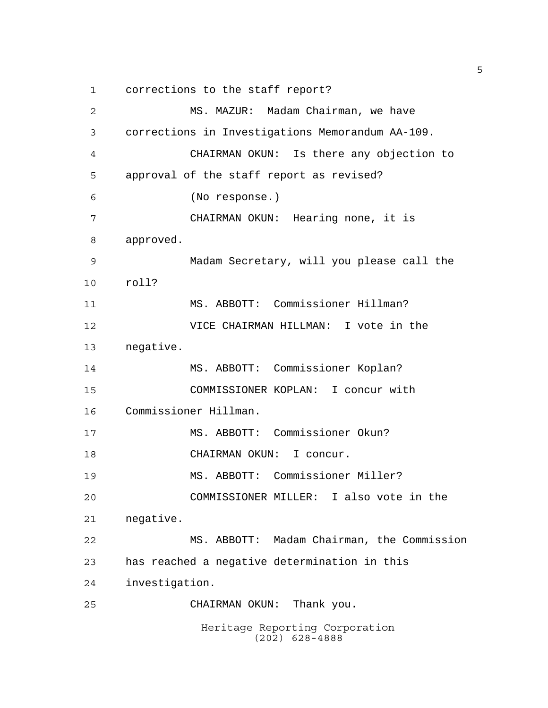corrections to the staff report?

Heritage Reporting Corporation (202) 628-4888 MS. MAZUR: Madam Chairman, we have corrections in Investigations Memorandum AA-109. CHAIRMAN OKUN: Is there any objection to approval of the staff report as revised? (No response.) CHAIRMAN OKUN: Hearing none, it is approved. Madam Secretary, will you please call the roll? MS. ABBOTT: Commissioner Hillman? VICE CHAIRMAN HILLMAN: I vote in the negative. MS. ABBOTT: Commissioner Koplan? COMMISSIONER KOPLAN: I concur with Commissioner Hillman. MS. ABBOTT: Commissioner Okun? 18 CHAIRMAN OKUN: I concur. MS. ABBOTT: Commissioner Miller? COMMISSIONER MILLER: I also vote in the negative. MS. ABBOTT: Madam Chairman, the Commission has reached a negative determination in this investigation. CHAIRMAN OKUN: Thank you.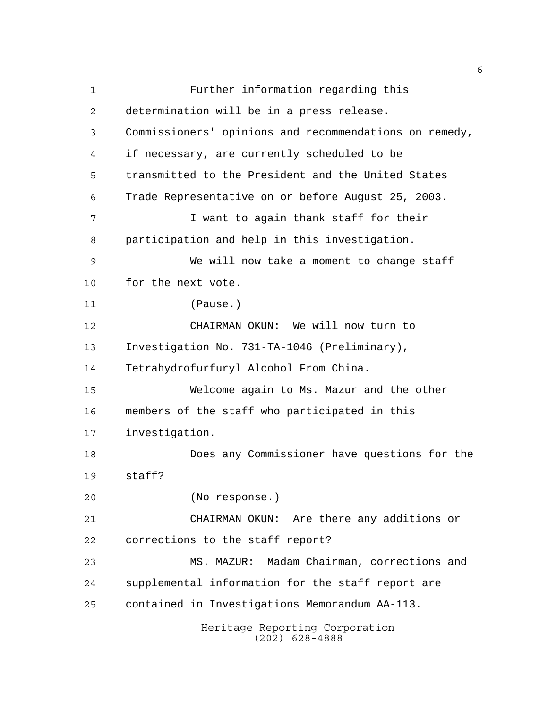Heritage Reporting Corporation (202) 628-4888 Further information regarding this determination will be in a press release. Commissioners' opinions and recommendations on remedy, if necessary, are currently scheduled to be transmitted to the President and the United States Trade Representative on or before August 25, 2003. I want to again thank staff for their participation and help in this investigation. We will now take a moment to change staff for the next vote. (Pause.) CHAIRMAN OKUN: We will now turn to Investigation No. 731-TA-1046 (Preliminary), Tetrahydrofurfuryl Alcohol From China. Welcome again to Ms. Mazur and the other members of the staff who participated in this investigation. Does any Commissioner have questions for the staff? (No response.) CHAIRMAN OKUN: Are there any additions or corrections to the staff report? MS. MAZUR: Madam Chairman, corrections and supplemental information for the staff report are contained in Investigations Memorandum AA-113.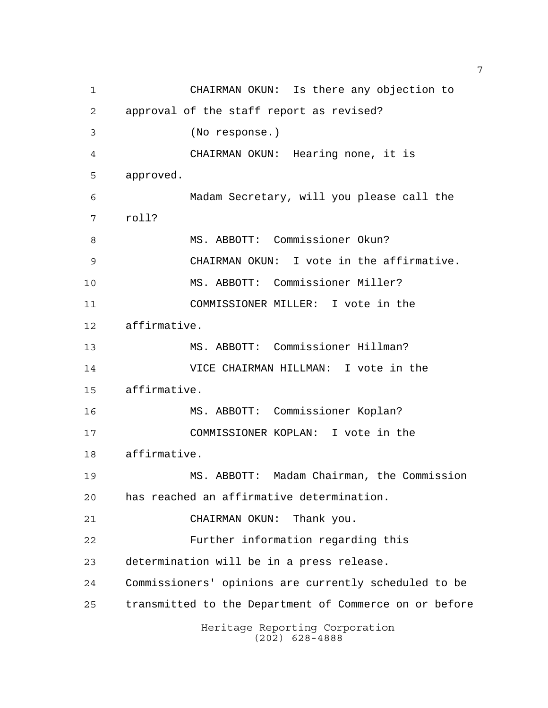Heritage Reporting Corporation (202) 628-4888 CHAIRMAN OKUN: Is there any objection to approval of the staff report as revised? (No response.) CHAIRMAN OKUN: Hearing none, it is approved. Madam Secretary, will you please call the roll? 8 MS. ABBOTT: Commissioner Okun? CHAIRMAN OKUN: I vote in the affirmative. MS. ABBOTT: Commissioner Miller? COMMISSIONER MILLER: I vote in the affirmative. MS. ABBOTT: Commissioner Hillman? VICE CHAIRMAN HILLMAN: I vote in the affirmative. MS. ABBOTT: Commissioner Koplan? COMMISSIONER KOPLAN: I vote in the affirmative. MS. ABBOTT: Madam Chairman, the Commission has reached an affirmative determination. CHAIRMAN OKUN: Thank you. Further information regarding this determination will be in a press release. Commissioners' opinions are currently scheduled to be transmitted to the Department of Commerce on or before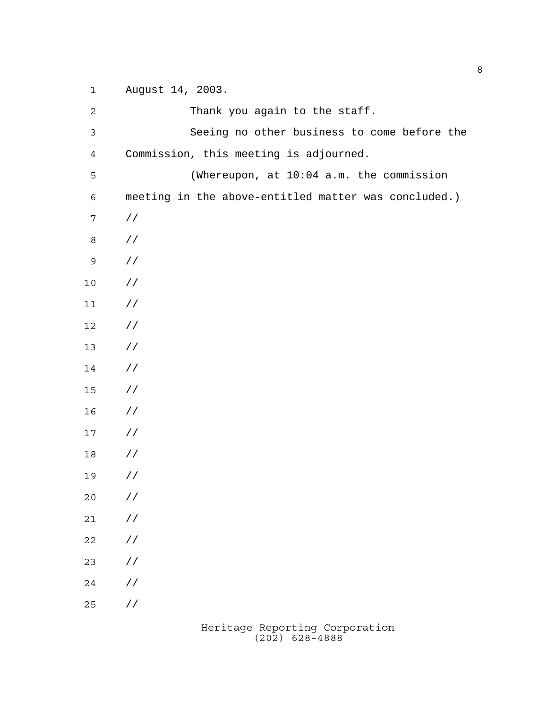August 14, 2003. 2 Thank you again to the staff. Seeing no other business to come before the Commission, this meeting is adjourned. (Whereupon, at 10:04 a.m. the commission meeting in the above-entitled matter was concluded.) // // // // // // // // // // // // // // // // // // //